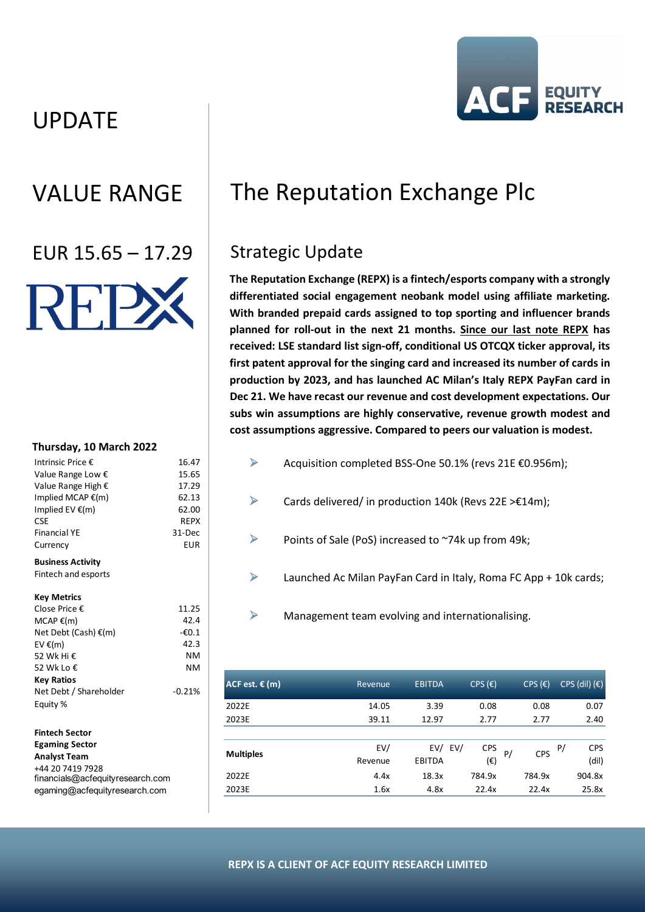# UPDATE



EUR  $15.65 - 17.29$  Strategic Update

REF

#### **Thursday, 10 March 2022**

| Intrinsic Price €          | 16.47    |
|----------------------------|----------|
| Value Range Low $\epsilon$ | 15.65    |
| Value Range High €         | 17.29    |
| Implied MCAP €(m)          | 62.13    |
| Implied EV $E(m)$          | 62.00    |
| CSE                        | REPX     |
| <b>Financial YE</b>        | 31-Dec   |
| Currency                   | EUR      |
| <b>Business Activity</b>   |          |
| Fintech and esports        |          |
| <b>Key Metrics</b>         |          |
| Close Price €              | 11.25    |
| MCAPE(m)                   | 42.4     |
| Net Debt (Cash) $E(m)$     | $-60.1$  |
| EV €(m)                    | 42.3     |
| 52 Wk Hi €                 | NΜ       |
| 52 Wk Lo €                 | NΜ       |
| <b>Key Ratios</b>          |          |
| Net Debt / Shareholder     | $-0.21%$ |
| Equity %                   |          |
|                            |          |

#### **Fintech Sector Egaming Sector Analyst Team** +44 20 7419 7928 financials@acfequityresearch.com egaming@acfequityresearch.com

# VALUE RANGE  $\parallel$  The Reputation Exchange Plc

**The Reputation Exchange (REPX) is a fintech/esports company with a strongly differentiated social engagement neobank model using affiliate marketing. With branded prepaid cards assigned to top sporting and influencer brands planned for roll-out in the next 21 months. [Since our last note REPX](https://acfequityresearch.com/the-reputation-exchange/) has received: LSE standard list sign-off, conditional US OTCQX ticker approval, its first patent approval for the singing card and increased its number of cards in production by 2023, and has launched AC Milan's Italy REPX PayFan card in Dec 21. We have recast our revenue and cost development expectations. Our subs win assumptions are highly conservative, revenue growth modest and cost assumptions aggressive. Compared to peers our valuation is modest.**

- Acquisition completed BSS-One 50.1% (revs 21E  $\epsilon$ 0.956m);
- ▶ Cards delivered/ in production 140k (Revs 22E >  $£14m$ );
- Points of Sale (PoS) increased to  $\sim$ 74k up from 49k;
- $\triangleright$  Launched Ac Milan PayFan Card in Italy, Roma FC App + 10k cards;
- $\triangleright$  Management team evolving and internationalising.

| ACF est. $\epsilon$ (m) | Revenue | <b>EBITDA</b> | CPS(E)            | CPS(E)    | $CPS$ (dil) $(\epsilon)$ |
|-------------------------|---------|---------------|-------------------|-----------|--------------------------|
| 2022E                   | 14.05   | 3.39          | 0.08              | 0.08      | 0.07                     |
| 2023E                   | 39.11   | 12.97         | 2.77              | 2.77      | 2.40                     |
|                         |         |               |                   |           |                          |
| <b>Multiples</b>        | EV/     | EV/           | EV/<br><b>CPS</b> | CPS<br>P/ | <b>CPS</b><br>P/         |
|                         | Revenue | <b>EBITDA</b> | (€)               |           | (dil)                    |
| 2022E                   | 4.4x    | 18.3x         | 784.9x            | 784.9x    | 904.8x                   |
| 2023E                   | 1.6x    | 4.8x          | 22.4x             | 22.4x     | 25.8x                    |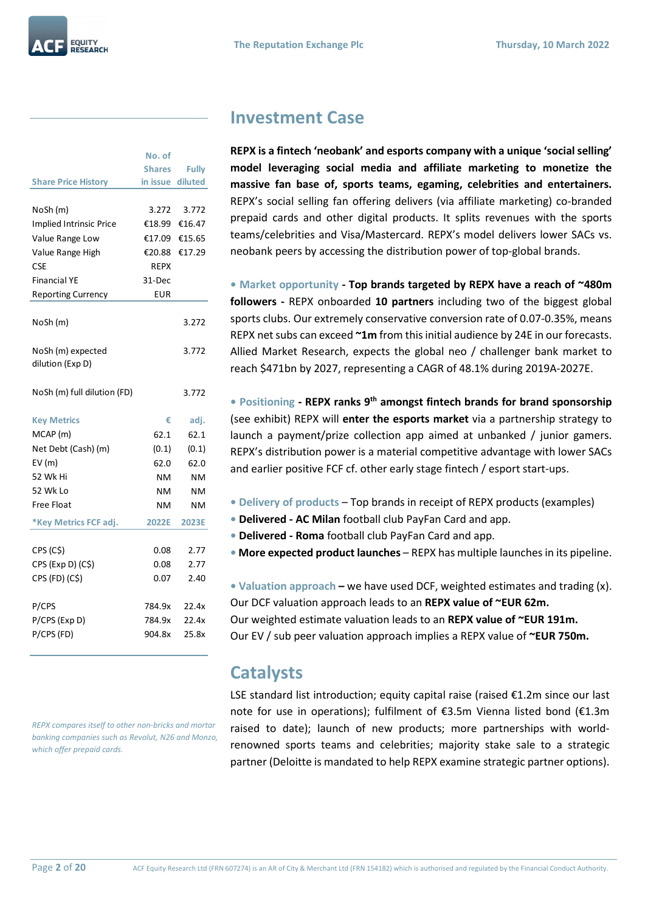|                                | No. of           |              |
|--------------------------------|------------------|--------------|
|                                | <b>Shares</b>    | <b>Fully</b> |
| <b>Share Price History</b>     | in issue diluted |              |
|                                |                  |              |
| NoSh (m)                       | 3.272            | 3.772        |
| <b>Implied Intrinsic Price</b> | €18.99           | €16.47       |
| Value Range Low                | €17.09           | €15.65       |
| Value Range High               | €20.88           | €17.29       |
| <b>CSE</b>                     | REPX             |              |
| <b>Financial YE</b>            | 31-Dec           |              |
| <b>Reporting Currency</b>      | EUR              |              |
|                                |                  |              |
| NoSh (m)                       |                  | 3.272        |
|                                |                  |              |
| NoSh (m) expected              |                  | 3.772        |
| dilution (Exp D)               |                  |              |
|                                |                  |              |
| NoSh (m) full dilution (FD)    |                  | 3.772        |
| <b>Key Metrics</b>             | €                | adj.         |
| MCAP (m)                       | 62.1             | 62.1         |
| Net Debt (Cash) (m)            | (0.1)            | (0.1)        |
| EV(m)                          | 62.0             | 62.0         |
| 52 Wk Hi                       | NΜ               | <b>NM</b>    |
| 52 Wk Lo                       | NΜ               | <b>NM</b>    |
| Free Float                     | ΝM               | ΝM           |
| *Key Metrics FCF adj.          | <b>2022E</b>     | 2023E        |
|                                |                  |              |
| CPS (C\$)                      | 0.08             | 2.77         |
| CPS (Exp D) (C\$)              | 0.08             | 2.77         |
| CPS (FD) (C\$)                 | 0.07             | 2.40         |
| P/CPS                          | 784.9x           | 22.4x        |
| P/CPS (Exp D)                  | 784.9x           | 22.4x        |
| P/CPS (FD)                     | 904.8x           | 25.8x        |

*REPX compares itself to other non-bricks and mortar banking companies such as Revolut, N26 and Monzo, which offer prepaid cards.*

### **Investment Case**

**REPX is a fintech 'neobank' and esports company with a unique 'social selling' model leveraging social media and affiliate marketing to monetize the massive fan base of, sports teams, egaming, celebrities and entertainers.** REPX's social selling fan offering delivers (via affiliate marketing) co-branded prepaid cards and other digital products. It splits revenues with the sports teams/celebrities and Visa/Mastercard. REPX's model delivers lower SACs vs. neobank peers by accessing the distribution power of top-global brands.

**• Market opportunity - Top brands targeted by REPX have a reach of ~480m followers -** REPX onboarded **10 partners** including two of the biggest global sports clubs. Our extremely conservative conversion rate of 0.07-0.35%, means REPX net subs can exceed **~1m** from this initial audience by 24E in our forecasts. Allied Market Research, expects the global neo / challenger bank market to reach \$471bn by 2027, representing a CAGR of 48.1% during 2019A-2027E.

**• Positioning - REPX ranks 9th amongst fintech brands for brand sponsorship** (see exhibit) REPX will **enter the esports market** via a partnership strategy to launch a payment/prize collection app aimed at unbanked / junior gamers. REPX's distribution power is a material competitive advantage with lower SACs and earlier positive FCF cf. other early stage fintech / esport start-ups.

- **• Delivery of products** Top brands in receipt of REPX products (examples)
- **• Delivered - AC Milan** football club PayFan Card and app.
- **• Delivered - Roma** football club PayFan Card and app.
- **• More expected product launches** REPX has multiple launches in its pipeline.

**• Valuation approach –** we have used DCF, weighted estimates and trading (x). Our DCF valuation approach leads to an **REPX value of ~EUR 62m.** Our weighted estimate valuation leads to an **REPX value of ~EUR 191m.**

Our EV / sub peer valuation approach implies a REPX value of **~EUR 750m.**

### **Catalysts**

LSE standard list introduction; equity capital raise (raised €1.2m since our last note for use in operations); fulfilment of €3.5m Vienna listed bond (€1.3m raised to date); launch of new products; more partnerships with worldrenowned sports teams and celebrities; majority stake sale to a strategic partner (Deloitte is mandated to help REPX examine strategic partner options).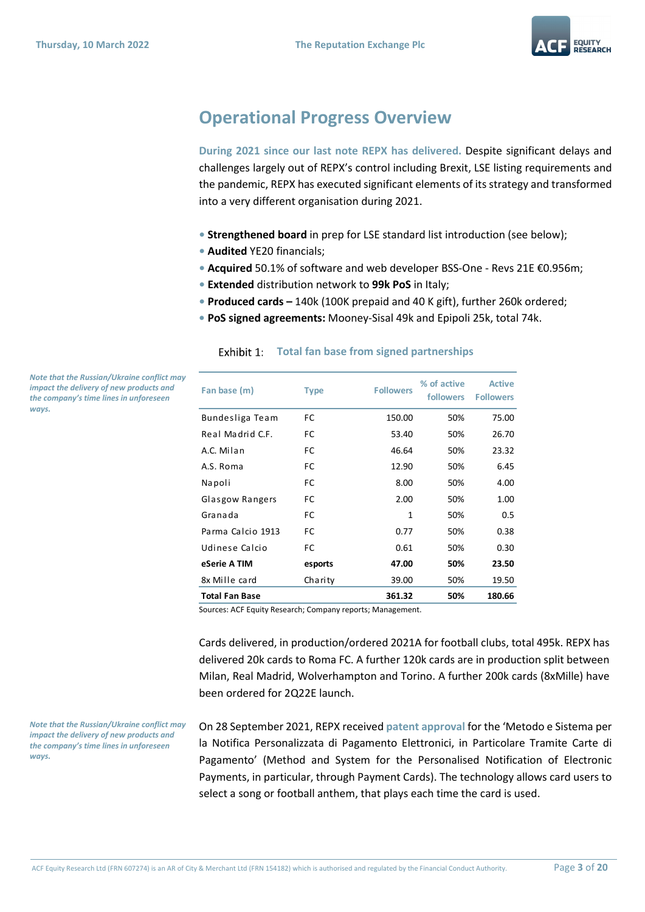

### **Operational Progress Overview**

**During 2021 since our last note REPX has delivered.** Despite significant delays and challenges largely out of REPX's control including Brexit, LSE listing requirements and the pandemic, REPX has executed significant elements of its strategy and transformed into a very different organisation during 2021.

- **Strengthened board** in prep for LSE standard list introduction (see below);
- **Audited** YE20 financials;
- **Acquired** 50.1% of software and web developer BSS-One Revs 21E €0.956m;
- **Extended** distribution network to **99k PoS** in Italy;
- **Produced cards –** 140k (100K prepaid and 40 K gift), further 260k ordered;
- **PoS signed agreements:** Mooney-Sisal 49k and Epipoli 25k, total 74k.

| Fan base (m)          | <b>Type</b> | <b>Followers</b> | % of active<br>followers | <b>Active</b><br><b>Followers</b> |
|-----------------------|-------------|------------------|--------------------------|-----------------------------------|
| Bundesliga Team       | FC          | 150.00           | 50%                      | 75.00                             |
| Real Madrid C.F.      | FC          | 53.40            | 50%                      | 26.70                             |
| A.C. Milan            | FC          | 46.64            | 50%                      | 23.32                             |
| A.S. Roma             | FC          | 12.90            | 50%                      | 6.45                              |
| Napoli                | FC          | 8.00             | 50%                      | 4.00                              |
| Glasgow Rangers       | FC          | 2.00             | 50%                      | 1.00                              |
| Granada               | FC          | 1                | 50%                      | 0.5                               |
| Parma Calcio 1913     | FC          | 0.77             | 50%                      | 0.38                              |
| Udinese Calcio        | FC          | 0.61             | 50%                      | 0.30                              |
| eSerie A TIM          | esports     | 47.00            | 50%                      | 23.50                             |
| 8x Mille card         | Charity     | 39.00            | 50%                      | 19.50                             |
| <b>Total Fan Base</b> |             | 361.32           | 50%                      | 180.66                            |
|                       |             |                  |                          |                                   |

#### **Exhibit 1: Total fan base from signed partnerships**

Sources: ACF Equity Research; Company reports; Management.

Cards delivered, in production/ordered 2021A for football clubs, total 495k. REPX has delivered 20k cards to Roma FC. A further 120k cards are in production split between Milan, Real Madrid, Wolverhampton and Torino. A further 200k cards (8xMille) have been ordered for 2Q22E launch.

On 28 September 2021, REPX received **patent approval** for the 'Metodo e Sistema per la Notifica Personalizzata di Pagamento Elettronici, in Particolare Tramite Carte di Pagamento' (Method and System for the Personalised Notification of Electronic Payments, in particular, through Payment Cards). The technology allows card users to select a song or football anthem, that plays each time the card is used.

*Note that the Russian/Ukraine conflict may impact the delivery of new products and the company's time lines in unforeseen ways.*

*Note that the Russian/Ukraine conflict may impact the delivery of new products and the company's time lines in unforeseen* 

*ways.*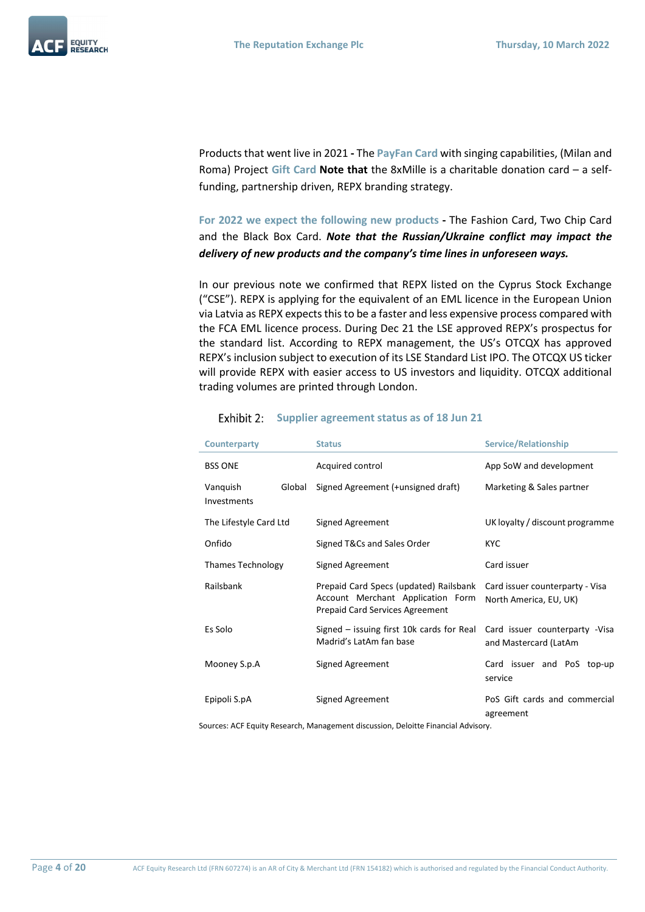

Products that went live in 2021 **-** The **PayFan Card** with singing capabilities, (Milan and Roma) Project **Gift Card Note that** the 8xMille is a charitable donation card – a selffunding, partnership driven, REPX branding strategy.

**For 2022 we expect the following new products -** The Fashion Card, Two Chip Card and the Black Box Card. *Note that the Russian/Ukraine conflict may impact the delivery of new products and the company's time lines in unforeseen ways.* 

In our previous note we confirmed that REPX listed on the Cyprus Stock Exchange ("CSE"). REPX is applying for the equivalent of an EML licence in the European Union via Latvia as REPX expects this to be a faster and less expensive process compared with the FCA EML licence process. During Dec 21 the LSE approved REPX's prospectus for the standard list. According to REPX management, the US's OTCQX has approved REPX's inclusion subject to execution of its LSE Standard List IPO. The OTCQX US ticker will provide REPX with easier access to US investors and liquidity. OTCQX additional trading volumes are printed through London.

| <b>Counterparty</b>      |        | <b>Status</b>                                                                                                         | <b>Service/Relationship</b>                               |  |  |  |
|--------------------------|--------|-----------------------------------------------------------------------------------------------------------------------|-----------------------------------------------------------|--|--|--|
| <b>BSS ONE</b>           |        | Acquired control                                                                                                      | App SoW and development                                   |  |  |  |
| Vanquish<br>Investments  | Global | Signed Agreement (+unsigned draft)                                                                                    | Marketing & Sales partner                                 |  |  |  |
| The Lifestyle Card Ltd   |        | Signed Agreement                                                                                                      | UK loyalty / discount programme                           |  |  |  |
| Onfido                   |        | Signed T&Cs and Sales Order                                                                                           | <b>KYC</b>                                                |  |  |  |
| <b>Thames Technology</b> |        | Signed Agreement                                                                                                      | Card issuer                                               |  |  |  |
| Railsbank                |        | Prepaid Card Specs (updated) Railsbank<br>Account Merchant Application Form<br><b>Prepaid Card Services Agreement</b> | Card issuer counterparty - Visa<br>North America, EU, UK) |  |  |  |
| Es Solo                  |        | Signed – issuing first 10k cards for Real<br>Madrid's LatAm fan base                                                  | Card issuer counterparty -Visa<br>and Mastercard (LatAm   |  |  |  |
| Mooney S.p.A             |        | Signed Agreement                                                                                                      | Card issuer and PoS top-up<br>service                     |  |  |  |
| Epipoli S.pA             |        | Signed Agreement                                                                                                      | PoS Gift cards and commercial<br>agreement                |  |  |  |

#### **Exhibit 2:** Supplier agreement status as of 18 Jun 21

Sources: ACF Equity Research, Management discussion, Deloitte Financial Advisory.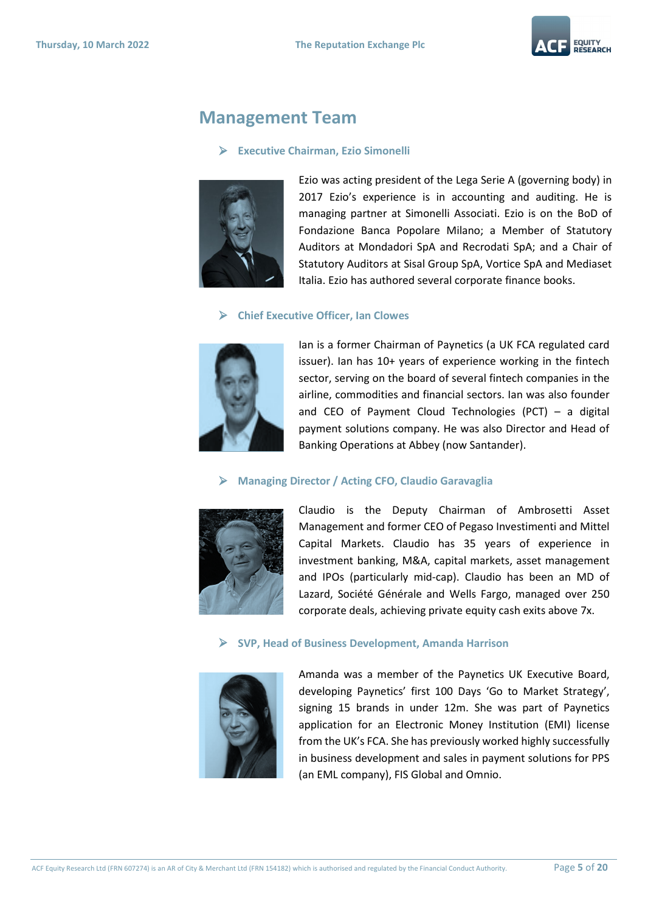

### **Management Team**

#### **Executive Chairman, Ezio Simonelli**



Ezio was acting president of the Lega Serie A (governing body) in 2017 Ezio's experience is in accounting and auditing. He is managing partner at Simonelli Associati. Ezio is on the BoD of Fondazione Banca Popolare Milano; a Member of Statutory Auditors at Mondadori SpA and Recrodati SpA; and a Chair of Statutory Auditors at Sisal Group SpA, Vortice SpA and Mediaset Italia. Ezio has authored several corporate finance books.

#### **Chief Executive Officer, Ian Clowes**



Ian is a former Chairman of Paynetics (a UK FCA regulated card issuer). Ian has 10+ years of experience working in the fintech sector, serving on the board of several fintech companies in the airline, commodities and financial sectors. Ian was also founder and CEO of Payment Cloud Technologies (PCT) – a digital payment solutions company. He was also Director and Head of Banking Operations at Abbey (now Santander).

### **Managing Director / Acting CFO, Claudio Garavaglia**



Claudio is the Deputy Chairman of Ambrosetti Asset Management and former CEO of Pegaso Investimenti and Mittel Capital Markets. Claudio has 35 years of experience in investment banking, M&A, capital markets, asset management and IPOs (particularly mid-cap). Claudio has been an MD of Lazard, Société Générale and Wells Fargo, managed over 250 corporate deals, achieving private equity cash exits above 7x.

#### **SVP, Head of Business Development, Amanda Harrison**



Amanda was a member of the Paynetics UK Executive Board, developing Paynetics' first 100 Days 'Go to Market Strategy', signing 15 brands in under 12m. She was part of Paynetics application for an Electronic Money Institution (EMI) license from the UK's FCA. She has previously worked highly successfully in business development and sales in payment solutions for PPS (an EML company), FIS Global and Omnio.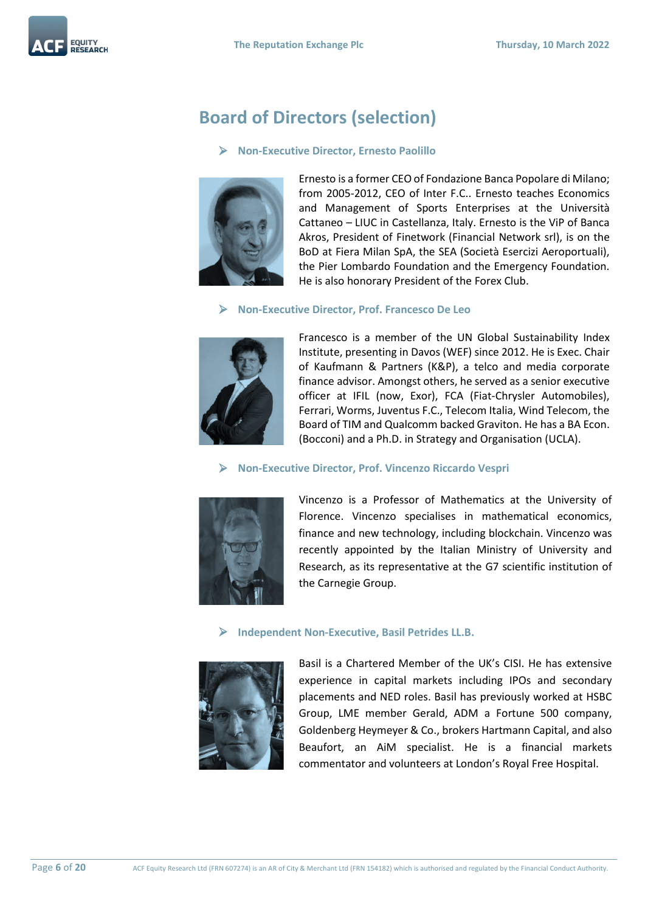

### **Board of Directors (selection)**

#### **Non-Executive Director, Ernesto Paolillo**



Ernesto is a former CEO of Fondazione Banca Popolare di Milano; from 2005-2012, CEO of Inter F.C.. Ernesto teaches Economics and Management of Sports Enterprises at the Università Cattaneo – LIUC in Castellanza, Italy. Ernesto is the ViP of Banca Akros, President of Finetwork (Financial Network srl), is on the BoD at Fiera Milan SpA, the SEA (Società Esercizi Aeroportuali), the Pier Lombardo Foundation and the Emergency Foundation. He is also honorary President of the Forex Club.

#### **Non-Executive Director, Prof. Francesco De Leo**



Francesco is a member of the UN Global Sustainability Index Institute, presenting in Davos (WEF) since 2012. He is Exec. Chair of Kaufmann & Partners (K&P), a telco and media corporate finance advisor. Amongst others, he served as a senior executive officer at IFIL (now, Exor), FCA (Fiat-Chrysler Automobiles), Ferrari, Worms, Juventus F.C., Telecom Italia, Wind Telecom, the Board of TIM and Qualcomm backed Graviton. He has a BA Econ. (Bocconi) and a Ph.D. in Strategy and Organisation (UCLA).

### **Non-Executive Director, Prof. Vincenzo Riccardo Vespri**



Vincenzo is a Professor of Mathematics at the University of Florence. Vincenzo specialises in mathematical economics, finance and new technology, including blockchain. Vincenzo was recently appointed by the Italian Ministry of University and Research, as its representative at the G7 scientific institution of the Carnegie Group.

**Independent Non-Executive, Basil Petrides LL.B.**



Basil is a Chartered Member of the UK's CISI. He has extensive experience in capital markets including IPOs and secondary placements and NED roles. Basil has previously worked at HSBC Group, LME member Gerald, ADM a Fortune 500 company, Goldenberg Heymeyer & Co., brokers Hartmann Capital, and also Beaufort, an AiM specialist. He is a financial markets commentator and volunteers at London's Royal Free Hospital.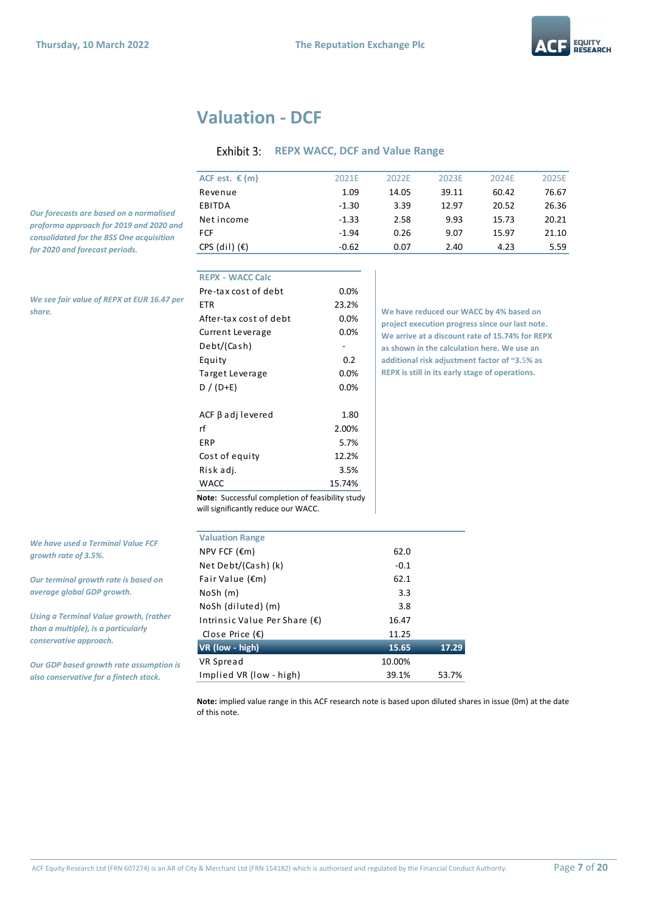

### **Valuation - DCF**

#### **Exhibit 3: REPX WACC, DCF and Value Range**

| ACF est. $\epsilon$ (m) | 2021E   | 2022E | 2023E | 2024F | 2025E |
|-------------------------|---------|-------|-------|-------|-------|
| Revenue                 | 1.09    | 14.05 | 39.11 | 60.42 | 76.67 |
| EBITDA                  | $-1.30$ | 3.39  | 12.97 | 20.52 | 26.36 |
| Net income              | $-1.33$ | 2.58  | 9.93  | 15.73 | 20.21 |
| FCF                     | $-1.94$ | 0.26  | 9.07  | 15.97 | 21.10 |
| CPS (dil) $(E)$         | $-0.62$ | 0.07  | 2.40  | 4.23  | 5.59  |

*Our forecasts are based on a normalised proforma approach for 2019 and 2020 and consolidated for the BSS One acquisition for 2020 and forecast periods.* 

*We see fair value of REPX at EUR 16.47 per share.*

| <b>REPX - WACC Calc</b>                          |        |
|--------------------------------------------------|--------|
| Pre-tax cost of debt                             | 0.0%   |
| ETR                                              | 23.2%  |
| After-tax cost of debt                           | 0.0%   |
| Current Leverage                                 | 0.0%   |
| Debt/(Cash)                                      |        |
| Equity                                           | 0.2    |
| Target Leverage                                  | 0.0%   |
| D / (D+E)                                        | 0.0%   |
| $ACF \beta$ adj levered                          | 1.80   |
| rf                                               | 2.00%  |
| ERP                                              | 5.7%   |
| Cost of equity                                   | 12.2%  |
| Risk adj.                                        | 3.5%   |
| WACC                                             | 15.74% |
| Note: Successful completion of feasibility study |        |

will significantly reduce our WACC.

**We have reduced our WACC by 4% based on project execution progress since our last note. We arrive at a discount rate of 15.74% for REPX as shown in the calculation here. We use an additional risk adjustment factor of ~3.**5**% as REPX is still in its early stage of operations.**

*We have used a Terminal Value FCF growth rate of 3.5%.* 

*Our terminal growth rate is based on average global GDP growth.* 

*Using a Terminal Value growth, (rather than a multiple), is a particularly conservative approach.* 

*Our GDP based growth rate assumption is also conservative for a fintech stock.*

| <b>Valuation Range</b>                 |        |       |
|----------------------------------------|--------|-------|
| NPV FCF $(\epsilon m)$                 | 62.0   |       |
| Net Debt/(Cash) (k)                    | $-0.1$ |       |
| Fair Value $(\epsilon m)$              | 62.1   |       |
| NoSh (m)                               | 3.3    |       |
| NoSh (diluted) (m)                     | 3.8    |       |
| Intrinsic Value Per Share $(\epsilon)$ | 16.47  |       |
| Close Price $(\epsilon)$               | 11.25  |       |
| VR (low - high)                        | 15.65  | 17.29 |
| VR Spread                              | 10.00% |       |
| Implied VR (low - high)                | 39.1%  | 53.7% |

**Note:** implied value range in this ACF research note is based upon diluted shares in issue (0m) at the date of this note.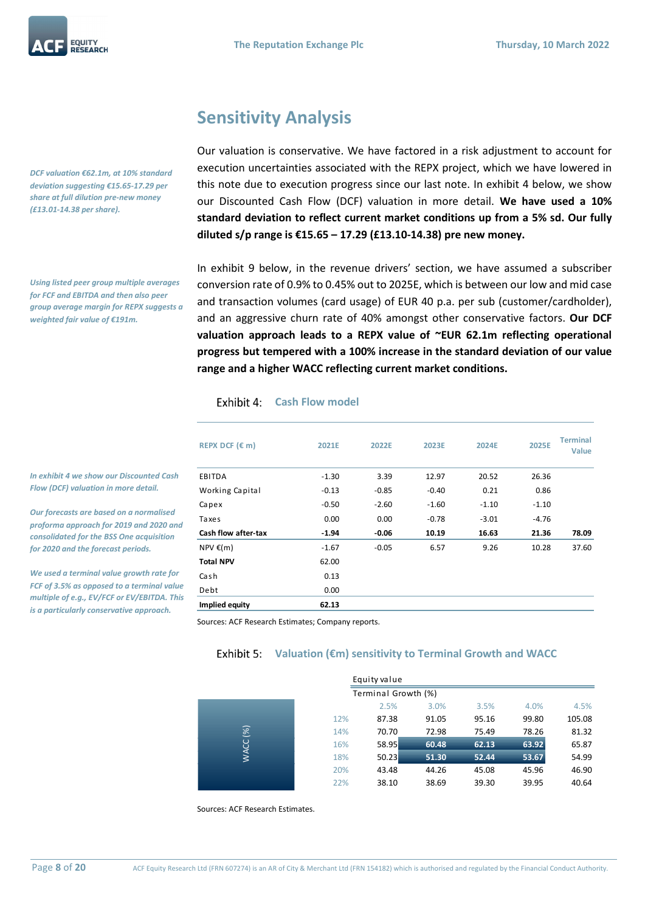*DCF valuation €62.1m, at 10% standard deviation suggesting €15.65-17.29 per share at full dilution pre-new money (£13.01-14.38 per share).*

**EQUITY** DESEADCH

*Using listed peer group multiple averages for FCF and EBITDA and then also peer group average margin for REPX suggests a weighted fair value of €191m.*

### **Sensitivity Analysis**

Our valuation is conservative. We have factored in a risk adjustment to account for execution uncertainties associated with the REPX project, which we have lowered in this note due to execution progress since our last note. In exhibit 4 below, we show our Discounted Cash Flow (DCF) valuation in more detail. **We have used a 10% standard deviation to reflect current market conditions up from a 5% sd. Our fully diluted s/p range is €15.65 – 17.29 (£13.10-14.38) pre new money.**

In exhibit 9 below, in the revenue drivers' section, we have assumed a subscriber conversion rate of 0.9% to 0.45% out to 2025E, which is between our low and mid case and transaction volumes (card usage) of EUR 40 p.a. per sub (customer/cardholder), and an aggressive churn rate of 40% amongst other conservative factors. **Our DCF valuation approach leads to a REPX value of ~EUR 62.1m reflecting operational progress but tempered with a 100% increase in the standard deviation of our value range and a higher WACC reflecting current market conditions.** 

#### **Exhibit 4:** Cash Flow model

| REPX DCF $(\epsilon m)$ | 2021E   | 2022E   | 2023E   | 2024E   | 2025E   | <b>Terminal</b><br>Value |
|-------------------------|---------|---------|---------|---------|---------|--------------------------|
| EBITDA                  | $-1.30$ | 3.39    | 12.97   | 20.52   | 26.36   |                          |
| Working Capital         | $-0.13$ | $-0.85$ | $-0.40$ | 0.21    | 0.86    |                          |
| Capex                   | $-0.50$ | $-2.60$ | $-1.60$ | $-1.10$ | $-1.10$ |                          |
| Taxes                   | 0.00    | 0.00    | $-0.78$ | $-3.01$ | $-4.76$ |                          |
| Cash flow after-tax     | $-1.94$ | $-0.06$ | 10.19   | 16.63   | 21.36   | 78.09                    |
| NPV €(m)                | $-1.67$ | $-0.05$ | 6.57    | 9.26    | 10.28   | 37.60                    |
| <b>Total NPV</b>        | 62.00   |         |         |         |         |                          |
| Cash                    | 0.13    |         |         |         |         |                          |
| Debt                    | 0.00    |         |         |         |         |                          |
| Implied equity          | 62.13   |         |         |         |         |                          |

Sources: ACF Research Estimates; Company reports.

#### **Valuation (€m) sensitivity to Terminal Growth and WACC**

|                         |     | Equity value        |       |       |       |        |
|-------------------------|-----|---------------------|-------|-------|-------|--------|
|                         |     | Terminal Growth (%) |       |       |       |        |
|                         |     | 2.5%                | 3.0%  | 3.5%  | 4.0%  | 4.5%   |
|                         | 12% | 87.38               | 91.05 | 95.16 | 99.80 | 105.08 |
| $\overline{\left( \%)}$ | 14% | 70.70               | 72.98 | 75.49 | 78.26 | 81.32  |
| WACC                    | 16% | 58.95               | 60.48 | 62.13 | 63.92 | 65.87  |
|                         | 18% | 50.23               | 51.30 | 52.44 | 53.67 | 54.99  |
|                         | 20% | 43.48               | 44.26 | 45.08 | 45.96 | 46.90  |
|                         | 22% | 38.10               | 38.69 | 39.30 | 39.95 | 40.64  |

Sources: ACF Research Estimates.

*In exhibit 4 we show our Discounted Cash Flow (DCF) valuation in more detail.*

*Our forecasts are based on a normalised proforma approach for 2019 and 2020 and consolidated for the BSS One acquisition for 2020 and the forecast periods.*

*We used a terminal value growth rate for FCF of 3.5% as opposed to a terminal value multiple of e.g., EV/FCF or EV/EBITDA. This is a particularly conservative approach.*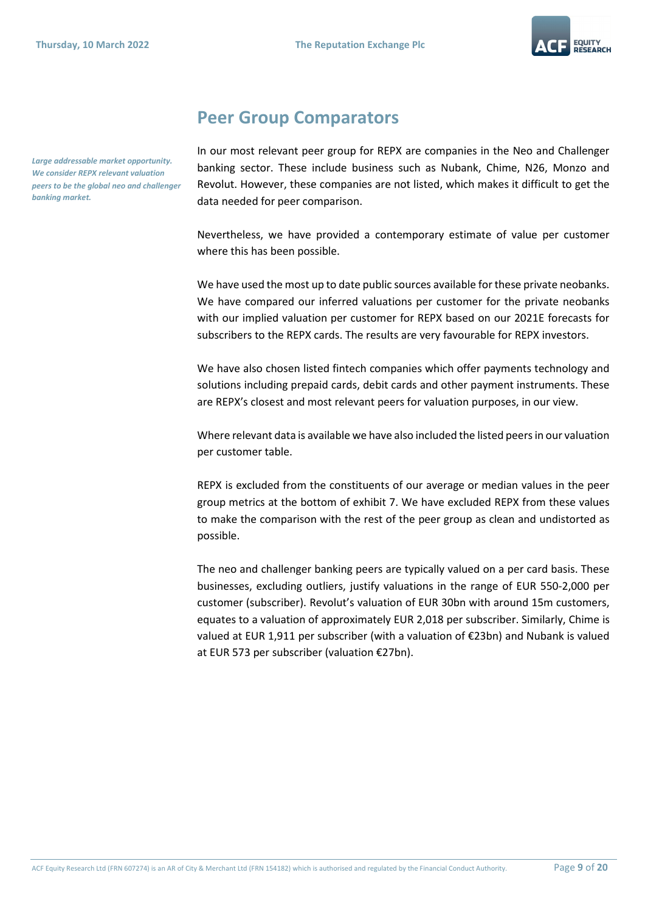

*Large addressable market opportunity. We consider REPX relevant valuation peers to be the global neo and challenger banking market.* 

### **Peer Group Comparators**

In our most relevant peer group for REPX are companies in the Neo and Challenger banking sector. These include business such as Nubank, Chime, N26, Monzo and Revolut. However, these companies are not listed, which makes it difficult to get the data needed for peer comparison.

Nevertheless, we have provided a contemporary estimate of value per customer where this has been possible.

We have used the most up to date public sources available for these private neobanks. We have compared our inferred valuations per customer for the private neobanks with our implied valuation per customer for REPX based on our 2021E forecasts for subscribers to the REPX cards. The results are very favourable for REPX investors.

We have also chosen listed fintech companies which offer payments technology and solutions including prepaid cards, debit cards and other payment instruments. These are REPX's closest and most relevant peers for valuation purposes, in our view.

Where relevant data is available we have also included the listed peers in our valuation per customer table.

REPX is excluded from the constituents of our average or median values in the peer group metrics at the bottom of exhibit 7. We have excluded REPX from these values to make the comparison with the rest of the peer group as clean and undistorted as possible.

The neo and challenger banking peers are typically valued on a per card basis. These businesses, excluding outliers, justify valuations in the range of EUR 550-2,000 per customer (subscriber). Revolut's valuation of EUR 30bn with around 15m customers, equates to a valuation of approximately EUR 2,018 per subscriber. Similarly, Chime is valued at EUR 1,911 per subscriber (with a valuation of €23bn) and Nubank is valued at EUR 573 per subscriber (valuation €27bn).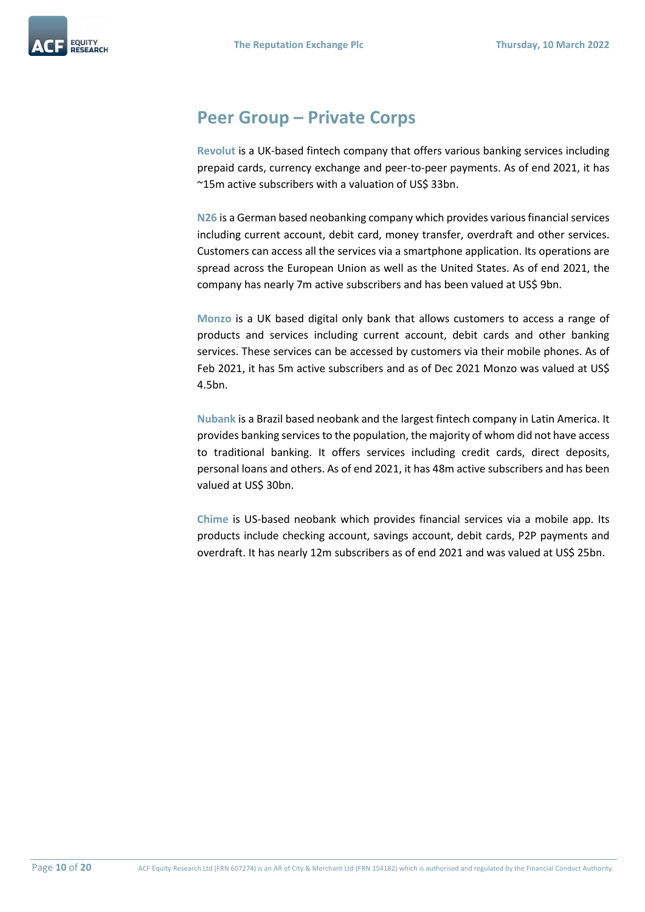

### **Peer Group – Private Corps**

**Revolut** is a UK-based fintech company that offers various banking services including prepaid cards, currency exchange and peer-to-peer payments. As of end 2021, it has ~15m active subscribers with a valuation of US\$ 33bn.

**N26** is a German based neobanking company which provides various financial services including current account, debit card, money transfer, overdraft and other services. Customers can access all the services via a smartphone application. Its operations are spread across the European Union as well as the United States. As of end 2021, the company has nearly 7m active subscribers and has been valued at US\$ 9bn.

**Monzo** is a UK based digital only bank that allows customers to access a range of products and services including current account, debit cards and other banking services. These services can be accessed by customers via their mobile phones. As of Feb 2021, it has 5m active subscribers and as of Dec 2021 Monzo was valued at US\$ 4.5bn.

**Nubank** is a Brazil based neobank and the largest fintech company in Latin America. It provides banking services to the population, the majority of whom did not have access to traditional banking. It offers services including credit cards, direct deposits, personal loans and others. As of end 2021, it has 48m active subscribers and has been valued at US\$ 30bn.

**Chime** is US-based neobank which provides financial services via a mobile app. Its products include checking account, savings account, debit cards, P2P payments and overdraft. It has nearly 12m subscribers as of end 2021 and was valued at US\$ 25bn.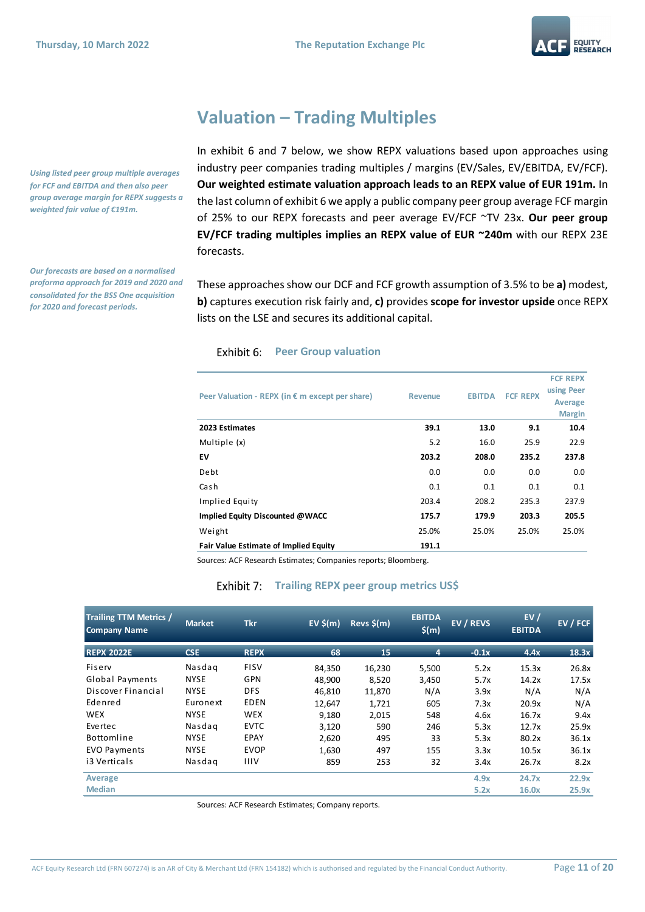

*Using listed peer group multiple averages for FCF and EBITDA and then also peer group average margin for REPX suggests a weighted fair value of €191m.*

*Our forecasts are based on a normalised proforma approach for 2019 and 2020 and consolidated for the BSS One acquisition for 2020 and forecast periods.*

### **Valuation – Trading Multiples**

In exhibit 6 and 7 below, we show REPX valuations based upon approaches using industry peer companies trading multiples / margins (EV/Sales, EV/EBITDA, EV/FCF). **Our weighted estimate valuation approach leads to an REPX value of EUR 191m.** In the last column of exhibit 6 we apply a public company peer group average FCF margin of 25% to our REPX forecasts and peer average EV/FCF ~TV 23x. **Our peer group EV/FCF trading multiples implies an REPX value of EUR ~240m** with our REPX 23E forecasts.

These approachesshow our DCF and FCF growth assumption of 3.5% to be **a)** modest, **b)** captures execution risk fairly and, **c)** provides **scope for investor upside** once REPX lists on the LSE and secures its additional capital.

#### **Exhibit 6: Peer Group valuation**

| Peer Valuation - REPX (in $€$ m except per share) | <b>Revenue</b> | <b>EBITDA</b> | <b>FCF REPX</b> | <b>FCF REPX</b><br>using Peer<br>Average<br><b>Margin</b> |
|---------------------------------------------------|----------------|---------------|-----------------|-----------------------------------------------------------|
| 2023 Estimates                                    | 39.1           | 13.0          | 9.1             | 10.4                                                      |
| Multiple (x)                                      | 5.2            | 16.0          | 25.9            | 22.9                                                      |
| EV                                                | 203.2          | 208.0         | 235.2           | 237.8                                                     |
| Debt                                              | 0.0            | 0.0           | 0.0             | 0.0                                                       |
| Cash                                              | 0.1            | 0.1           | 0.1             | 0.1                                                       |
| Implied Equity                                    | 203.4          | 208.2         | 235.3           | 237.9                                                     |
| Implied Equity Discounted @WACC                   | 175.7          | 179.9         | 203.3           | 205.5                                                     |
| Weight                                            | 25.0%          | 25.0%         | 25.0%           | 25.0%                                                     |
| <b>Fair Value Estimate of Implied Equity</b>      | 191.1          |               |                 |                                                           |

Sources: ACF Research Estimates; Companies reports; Bloomberg.

#### **Exhibit 7: Trailing REPX peer group metrics US\$**

| <b>Trailing TTM Metrics /</b><br><b>Company Name</b> | <b>Market</b> | <b>Tkr</b>  | $EV$ \$(m) | Revs $\mathsf{S(m)}$ | <b>EBITDA</b><br>$$$ (m) | EV / REVS | EV/<br><b>EBITDA</b> | EV / FCF |
|------------------------------------------------------|---------------|-------------|------------|----------------------|--------------------------|-----------|----------------------|----------|
| <b>REPX 2022E</b>                                    | <b>CSE</b>    | <b>REPX</b> | 68         | 15                   | 4                        | $-0.1x$   | 4.4x                 | 18.3x    |
| Fiserv                                               | Nasdag        | <b>FISV</b> | 84,350     | 16,230               | 5,500                    | 5.2x      | 15.3x                | 26.8x    |
| Global Payments                                      | <b>NYSE</b>   | GPN         | 48,900     | 8,520                | 3,450                    | 5.7x      | 14.2x                | 17.5x    |
| Discover Financial                                   | <b>NYSE</b>   | <b>DFS</b>  | 46,810     | 11,870               | N/A                      | 3.9x      | N/A                  | N/A      |
| Edenred                                              | Euronext      | <b>EDEN</b> | 12,647     | 1,721                | 605                      | 7.3x      | 20.9x                | N/A      |
| <b>WEX</b>                                           | <b>NYSE</b>   | <b>WEX</b>  | 9,180      | 2,015                | 548                      | 4.6x      | 16.7x                | 9.4x     |
| Evertec                                              | Nasdag        | <b>EVTC</b> | 3,120      | 590                  | 246                      | 5.3x      | 12.7x                | 25.9x    |
| <b>Bottomline</b>                                    | <b>NYSE</b>   | EPAY        | 2,620      | 495                  | 33                       | 5.3x      | 80.2x                | 36.1x    |
| <b>EVO Payments</b>                                  | <b>NYSE</b>   | <b>EVOP</b> | 1,630      | 497                  | 155                      | 3.3x      | 10.5x                | 36.1x    |
| i3 Verticals                                         | Nasdag        | <b>IIIV</b> | 859        | 253                  | 32                       | 3.4x      | 26.7x                | 8.2x     |
| Average                                              |               |             |            |                      |                          | 4.9x      | 24.7x                | 22.9x    |
| <b>Median</b>                                        |               |             |            |                      |                          | 5.2x      | 16.0x                | 25.9x    |

Sources: ACF Research Estimates; Company reports.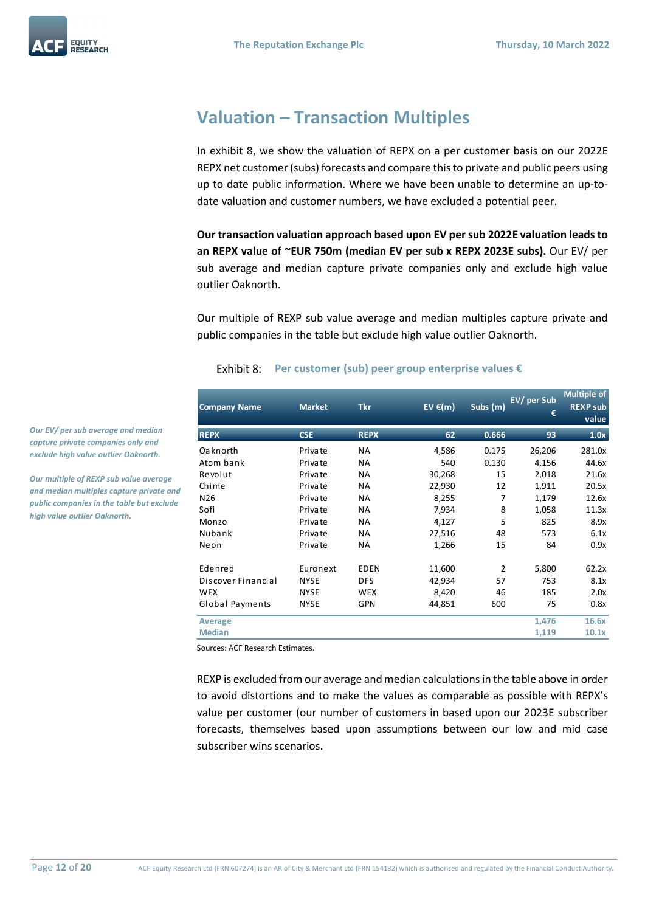

### **Valuation – Transaction Multiples**

In exhibit 8, we show the valuation of REPX on a per customer basis on our 2022E REPX net customer (subs) forecasts and compare this to private and public peers using up to date public information. Where we have been unable to determine an up-todate valuation and customer numbers, we have excluded a potential peer.

**Our transaction valuation approach based upon EV per sub 2022E valuation leads to an REPX value of ~EUR 750m (median EV per sub x REPX 2023E subs).** Our EV/ per sub average and median capture private companies only and exclude high value outlier Oaknorth.

Our multiple of REXP sub value average and median multiples capture private and public companies in the table but exclude high value outlier Oaknorth.

| <b>Company Name</b> | <b>Market</b> | <b>Tkr</b>  | EVE(m) | $\overline{\mathsf{Subs}}(\mathsf{m})$ | EV/ per Sub<br>€ | <b>Multiple of</b><br><b>REXP sub</b><br>value |
|---------------------|---------------|-------------|--------|----------------------------------------|------------------|------------------------------------------------|
| <b>REPX</b>         | <b>CSE</b>    | <b>REPX</b> | 62     | 0.666                                  | 93               | 1.0x                                           |
| Oaknorth            | Private       | ΝA          | 4,586  | 0.175                                  | 26,206           | 281.0x                                         |
| Atom bank           | Private       | ΝA          | 540    | 0.130                                  | 4,156            | 44.6x                                          |
| Revolut             | Private       | ΝA          | 30,268 | 15                                     | 2,018            | 21.6x                                          |
| Chime               | Private       | ΝA          | 22,930 | 12                                     | 1,911            | 20.5x                                          |
| N26                 | Private       | <b>NA</b>   | 8,255  | 7                                      | 1,179            | 12.6x                                          |
| Sofi                | Private       | ΝA          | 7,934  | 8                                      | 1,058            | 11.3x                                          |
| Monzo               | Private       | NA          | 4,127  | 5                                      | 825              | 8.9x                                           |
| Nubank              | Private       | NA          | 27,516 | 48                                     | 573              | 6.1x                                           |
| Neon                | Private       | NA          | 1,266  | 15                                     | 84               | 0.9x                                           |
| Edenred             | Euronext      | <b>EDEN</b> | 11,600 | $\overline{2}$                         | 5,800            | 62.2x                                          |
| Discover Financial  | <b>NYSE</b>   | <b>DFS</b>  | 42,934 | 57                                     | 753              | 8.1x                                           |
| <b>WEX</b>          | <b>NYSE</b>   | <b>WEX</b>  | 8,420  | 46                                     | 185              | 2.0x                                           |
| Global Payments     | <b>NYSE</b>   | GPN         | 44,851 | 600                                    | 75               | 0.8x                                           |
| <b>Average</b>      |               |             |        |                                        | 1,476            | 16.6x                                          |
| <b>Median</b>       |               |             |        |                                        | 1,119            | 10.1x                                          |

#### **Exhibit 8:** Per customer (sub) peer group enterprise values €

Sources: ACF Research Estimates.

REXP is excluded from our average and median calculations in the table above in order to avoid distortions and to make the values as comparable as possible with REPX's value per customer (our number of customers in based upon our 2023E subscriber forecasts, themselves based upon assumptions between our low and mid case subscriber wins scenarios.

*Our EV/ per sub average and median capture private companies only and exclude high value outlier Oaknorth.*

*Our multiple of REXP sub value average and median multiples capture private and public companies in the table but exclude high value outlier Oaknorth.*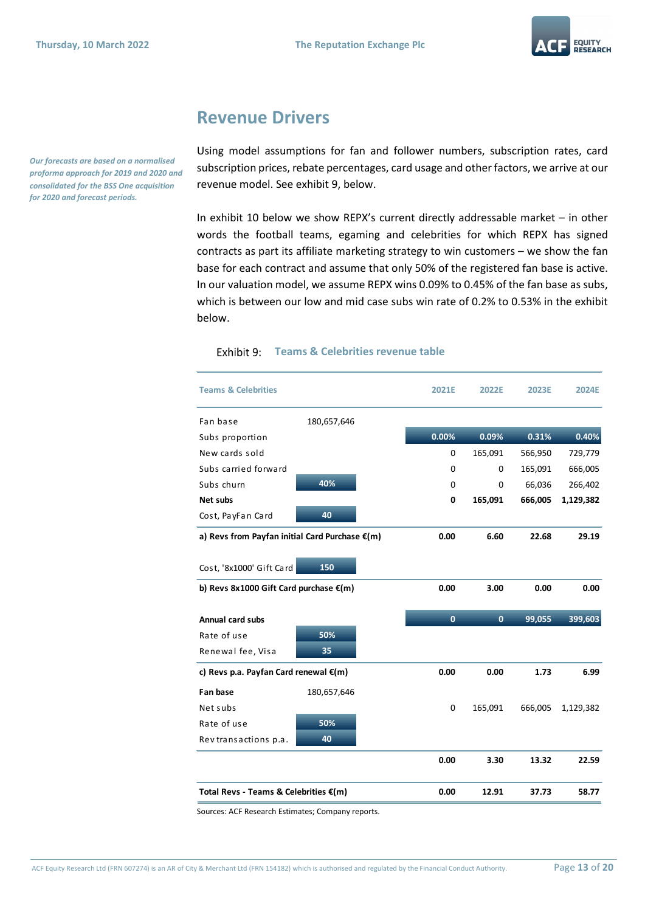

### **Revenue Drivers**

*Our forecasts are based on a normalised proforma approach for 2019 and 2020 and consolidated for the BSS One acquisition for 2020 and forecast periods.*

Using model assumptions for fan and follower numbers, subscription rates, card subscription prices, rebate percentages, card usage and other factors, we arrive at our revenue model. See exhibit 9, below.

In exhibit 10 below we show REPX's current directly addressable market – in other words the football teams, egaming and celebrities for which REPX has signed contracts as part its affiliate marketing strategy to win customers – we show the fan base for each contract and assume that only 50% of the registered fan base is active. In our valuation model, we assume REPX wins 0.09% to 0.45% of the fan base as subs, which is between our low and mid case subs win rate of 0.2% to 0.53% in the exhibit below.

#### **Exhibit 9: Teams & Celebrities revenue table**

| <b>Teams &amp; Celebrities</b>                 |             | <b>2021E</b>   | <b>2022E</b>   | 2023E   | 2024E     |
|------------------------------------------------|-------------|----------------|----------------|---------|-----------|
| Fan base                                       | 180,657,646 |                |                |         |           |
| Subs proportion                                |             | 0.00%          | 0.09%          | 0.31%   | 0.40%     |
| New cards sold                                 |             | $\mathbf 0$    | 165,091        | 566,950 | 729,779   |
| Subs carried forward                           |             | $\mathbf 0$    | 0              | 165,091 | 666,005   |
| Subs churn                                     | 40%         | 0              | 0              | 66,036  | 266,402   |
| Net subs                                       |             | 0              | 165,091        | 666,005 | 1,129,382 |
| Cost, PayFan Card                              | 40          |                |                |         |           |
| a) Revs from Payfan initial Card Purchase €(m) |             | 0.00           | 6.60           | 22.68   | 29.19     |
| Cost, '8x1000' Gift Card                       | 150         |                |                |         |           |
| b) Revs 8x1000 Gift Card purchase €(m)         |             | 0.00           | 3.00           | 0.00    | 0.00      |
| <b>Annual card subs</b>                        |             | $\overline{0}$ | $\overline{0}$ | 99,055  | 399,603   |
| Rate of use                                    | 50%         |                |                |         |           |
| Renewal fee, Visa                              | 35          |                |                |         |           |
| c) Revs p.a. Payfan Card renewal €(m)          |             | 0.00           | 0.00           | 1.73    | 6.99      |
| Fan base                                       | 180,657,646 |                |                |         |           |
| Net subs                                       |             | $\mathbf 0$    | 165,091        | 666,005 | 1,129,382 |
| Rate of use                                    | 50%         |                |                |         |           |
| Rev transactions p.a.                          | 40          |                |                |         |           |
|                                                |             | 0.00           | 3.30           | 13.32   | 22.59     |
| Total Revs - Teams & Celebrities €(m)          | 0.00        | 12.91          | 37.73          | 58.77   |           |

Sources: ACF Research Estimates; Company reports.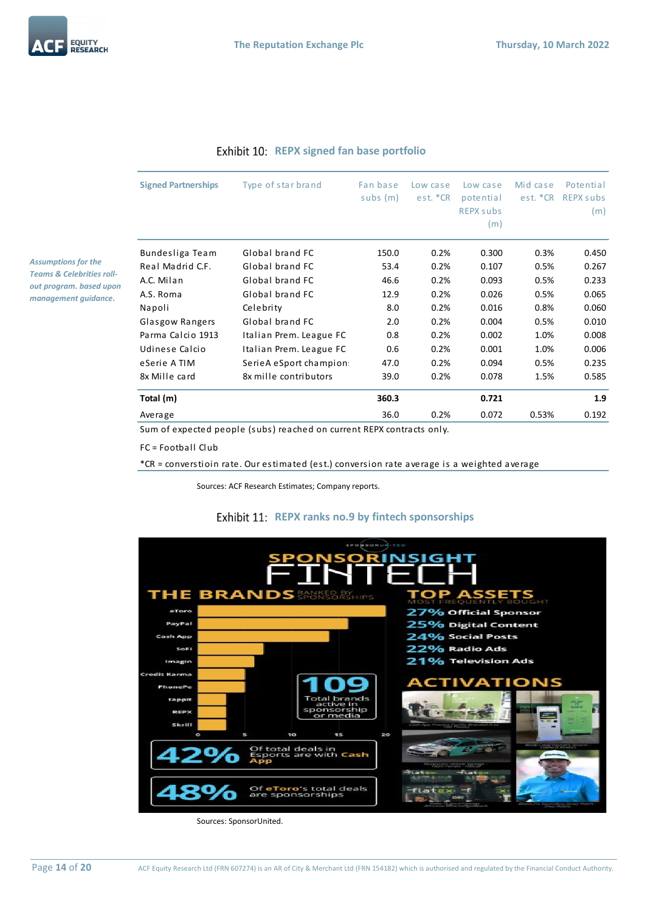|                                                                    | <b>Signed Partnerships</b> | Type of star brand      | Fan base<br>$subs$ (m) | Low case<br>est. *CR | Low case<br>potential<br><b>REPX subs</b><br>(m) | Mid case<br>est. *CR | Potential<br><b>REPX subs</b><br>(m) |
|--------------------------------------------------------------------|----------------------------|-------------------------|------------------------|----------------------|--------------------------------------------------|----------------------|--------------------------------------|
|                                                                    | Bundesliga Team            | Global brand FC         | 150.0                  | 0.2%                 | 0.300                                            | 0.3%                 | 0.450                                |
| <b>Assumptions for the</b><br><b>Teams &amp; Celebrities roll-</b> | Real Madrid C.F.           | Global brand FC         | 53.4                   | 0.2%                 | 0.107                                            | 0.5%                 | 0.267                                |
| out program. based upon                                            | A.C. Milan                 | Global brand FC         | 46.6                   | 0.2%                 | 0.093                                            | 0.5%                 | 0.233                                |
| management quidance.                                               | A.S. Roma                  | Global brand FC         | 12.9                   | 0.2%                 | 0.026                                            | 0.5%                 | 0.065                                |
|                                                                    | Napoli                     | Celebrity               | 8.0                    | 0.2%                 | 0.016                                            | 0.8%                 | 0.060                                |
|                                                                    | Glasgow Rangers            | Global brand FC         | 2.0                    | 0.2%                 | 0.004                                            | 0.5%                 | 0.010                                |
|                                                                    | Parma Calcio 1913          | Italian Prem. League FC | 0.8                    | 0.2%                 | 0.002                                            | 1.0%                 | 0.008                                |
|                                                                    | Udinese Calcio             | Italian Prem. League FC | 0.6                    | 0.2%                 | 0.001                                            | 1.0%                 | 0.006                                |
|                                                                    | eSerie A TIM               | SerieA eSport champion: | 47.0                   | 0.2%                 | 0.094                                            | 0.5%                 | 0.235                                |
|                                                                    | 8x Mille card              | 8x mille contributors   | 39.0                   | 0.2%                 | 0.078                                            | 1.5%                 | 0.585                                |
|                                                                    | Total (m)                  |                         | 360.3                  |                      | 0.721                                            |                      | 1.9                                  |
|                                                                    | Average                    |                         | 36.0                   | 0.2%                 | 0.072                                            | 0.53%                | 0.192                                |

#### **REPX signed fan base portfolio**

Sum of expected people (subs) reached on current REPX contracts only.

FC = Football Club

\*CR = converstioin rate. Our estimated (est.) conversion rate average is a weighted average

Sources: ACF Research Estimates; Company reports.

#### **Exhibit 11: REPX ranks no.9 by fintech sponsorships**



Sources: SponsorUnited.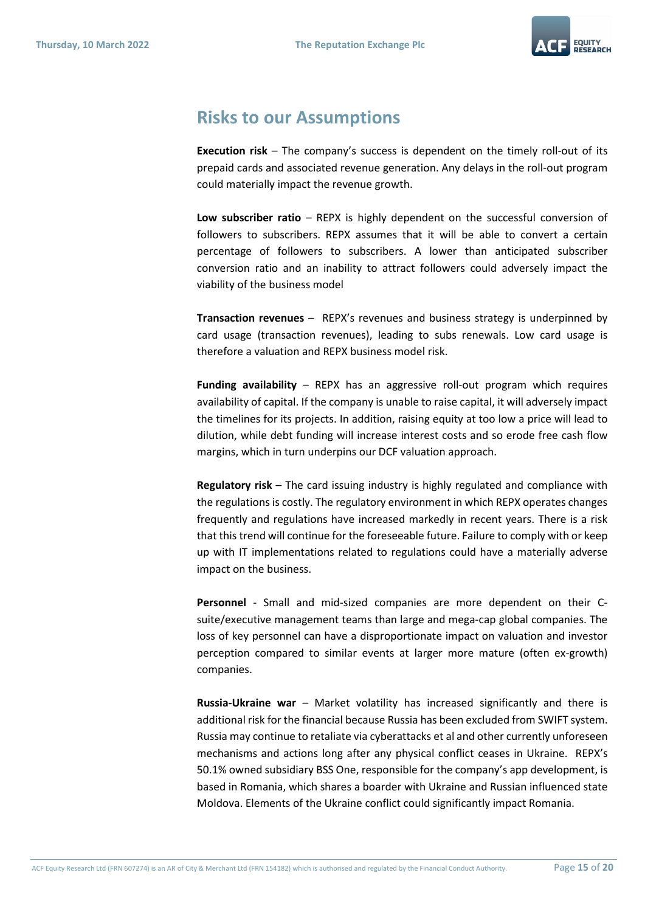

### **Risks to our Assumptions**

**Execution risk** – The company's success is dependent on the timely roll-out of its prepaid cards and associated revenue generation. Any delays in the roll-out program could materially impact the revenue growth.

**Low subscriber ratio** – REPX is highly dependent on the successful conversion of followers to subscribers. REPX assumes that it will be able to convert a certain percentage of followers to subscribers. A lower than anticipated subscriber conversion ratio and an inability to attract followers could adversely impact the viability of the business model

**Transaction revenues** – REPX's revenues and business strategy is underpinned by card usage (transaction revenues), leading to subs renewals. Low card usage is therefore a valuation and REPX business model risk.

**Funding availability** – REPX has an aggressive roll-out program which requires availability of capital. If the company is unable to raise capital, it will adversely impact the timelines for its projects. In addition, raising equity at too low a price will lead to dilution, while debt funding will increase interest costs and so erode free cash flow margins, which in turn underpins our DCF valuation approach.

**Regulatory risk** – The card issuing industry is highly regulated and compliance with the regulations is costly. The regulatory environment in which REPX operates changes frequently and regulations have increased markedly in recent years. There is a risk that this trend will continue for the foreseeable future. Failure to comply with or keep up with IT implementations related to regulations could have a materially adverse impact on the business.

**Personnel** - Small and mid-sized companies are more dependent on their Csuite/executive management teams than large and mega-cap global companies. The loss of key personnel can have a disproportionate impact on valuation and investor perception compared to similar events at larger more mature (often ex-growth) companies.

**Russia-Ukraine war** – Market volatility has increased significantly and there is additional risk for the financial because Russia has been excluded from SWIFT system. Russia may continue to retaliate via cyberattacks et al and other currently unforeseen mechanisms and actions long after any physical conflict ceases in Ukraine. REPX's 50.1% owned subsidiary BSS One, responsible for the company's app development, is based in Romania, which shares a boarder with Ukraine and Russian influenced state Moldova. Elements of the Ukraine conflict could significantly impact Romania.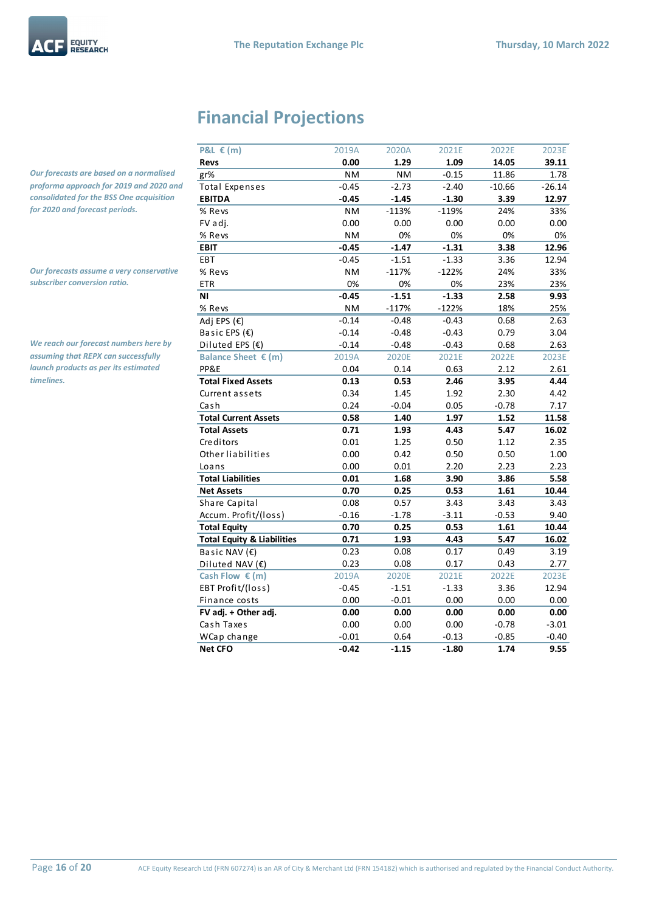## **Financial Projections**

| P&L € (m)                             | 2019A     | 2020A     | 2021E   | 2022E    | 2023E    |
|---------------------------------------|-----------|-----------|---------|----------|----------|
| Revs                                  | 0.00      | 1.29      | 1.09    | 14.05    | 39.11    |
| gr%                                   | <b>NM</b> | <b>NM</b> | $-0.15$ | 11.86    | 1.78     |
| <b>Total Expenses</b>                 | $-0.45$   | $-2.73$   | $-2.40$ | $-10.66$ | $-26.14$ |
| <b>EBITDA</b>                         | $-0.45$   | $-1.45$   | $-1.30$ | 3.39     | 12.97    |
| % Revs                                | <b>NM</b> | $-113%$   | $-119%$ | 24%      | 33%      |
| FV adj.                               | 0.00      | 0.00      | 0.00    | 0.00     | 0.00     |
| % Revs                                | <b>NM</b> | 0%        | 0%      | 0%       | 0%       |
| <b>EBIT</b>                           | $-0.45$   | $-1.47$   | $-1.31$ | 3.38     | 12.96    |
| EBT                                   | $-0.45$   | $-1.51$   | $-1.33$ | 3.36     | 12.94    |
| % Revs                                | <b>NM</b> | $-117%$   | $-122%$ | 24%      | 33%      |
| <b>ETR</b>                            | 0%        | 0%        | 0%      | 23%      | 23%      |
| ΝI                                    | $-0.45$   | $-1.51$   | $-1.33$ | 2.58     | 9.93     |
| % Revs                                | <b>NM</b> | $-117%$   | $-122%$ | 18%      | 25%      |
| Adj EPS (€)                           | $-0.14$   | $-0.48$   | $-0.43$ | 0.68     | 2.63     |
| Basic EPS $(\epsilon)$                | $-0.14$   | $-0.48$   | $-0.43$ | 0.79     | 3.04     |
| Diluted EPS $(\epsilon)$              | $-0.14$   | $-0.48$   | $-0.43$ | 0.68     | 2.63     |
| Balance Sheet € (m)                   | 2019A     | 2020E     | 2021E   | 2022E    | 2023E    |
| PP&E                                  | 0.04      | 0.14      | 0.63    | 2.12     | 2.61     |
| <b>Total Fixed Assets</b>             | 0.13      | 0.53      | 2.46    | 3.95     | 4.44     |
| Current assets                        | 0.34      | 1.45      | 1.92    | 2.30     | 4.42     |
| Cash                                  | 0.24      | $-0.04$   | 0.05    | $-0.78$  | 7.17     |
| <b>Total Current Assets</b>           | 0.58      | 1.40      | 1.97    | 1.52     | 11.58    |
| <b>Total Assets</b>                   | 0.71      | 1.93      | 4.43    | 5.47     | 16.02    |
| Creditors                             | 0.01      | 1.25      | 0.50    | 1.12     | 2.35     |
| Other liabilities                     | 0.00      | 0.42      | 0.50    | 0.50     | 1.00     |
| Loans                                 | 0.00      | 0.01      | 2.20    | 2.23     | 2.23     |
| <b>Total Liabilities</b>              | 0.01      | 1.68      | 3.90    | 3.86     | 5.58     |
| <b>Net Assets</b>                     | 0.70      | 0.25      | 0.53    | 1.61     | 10.44    |
| Share Capital                         | 0.08      | 0.57      | 3.43    | 3.43     | 3.43     |
| Accum. Profit/(loss)                  | $-0.16$   | $-1.78$   | $-3.11$ | $-0.53$  | 9.40     |
| <b>Total Equity</b>                   | 0.70      | 0.25      | 0.53    | 1.61     | 10.44    |
| <b>Total Equity &amp; Liabilities</b> | 0.71      | 1.93      | 4.43    | 5.47     | 16.02    |
| Basic NAV $(E)$                       | 0.23      | 0.08      | 0.17    | 0.49     | 3.19     |
| Diluted NAV (€)                       | 0.23      | 0.08      | 0.17    | 0.43     | 2.77     |
| Cash Flow $€$ (m)                     | 2019A     | 2020E     | 2021E   | 2022E    | 2023E    |
| EBT Profit/(loss)                     | $-0.45$   | $-1.51$   | $-1.33$ | 3.36     | 12.94    |
| Finance costs                         | 0.00      | $-0.01$   | 0.00    | 0.00     | 0.00     |
| FV adj. + Other adj.                  | 0.00      | 0.00      | 0.00    | 0.00     | 0.00     |
| Cash Taxes                            | 0.00      | 0.00      | 0.00    | $-0.78$  | $-3.01$  |
| WCap change                           | $-0.01$   | 0.64      | $-0.13$ | $-0.85$  | $-0.40$  |
| <b>Net CFO</b>                        | $-0.42$   | $-1.15$   | $-1.80$ | 1.74     | 9.55     |

*Our forecasts are based on a normalised proforma approach for 2019 and 2020 and consolidated for the BSS One acquisition for 2020 and forecast periods.*

EQUITY<br>RESEARCH

*Our forecasts assume a very conservative subscriber conversion ratio.*

*We reach our forecast numbers here by assuming that REPX can successfully launch products as per its estimated timelines.*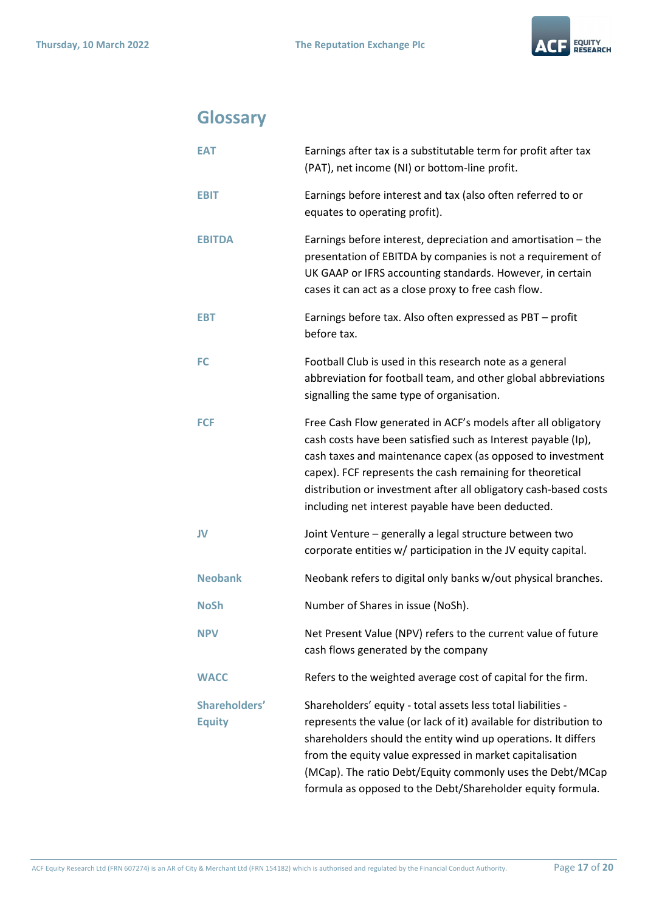

## **Glossary**

| <b>EAT</b>                     | Earnings after tax is a substitutable term for profit after tax<br>(PAT), net income (NI) or bottom-line profit.                                                                                                                                                                                                                                                                           |
|--------------------------------|--------------------------------------------------------------------------------------------------------------------------------------------------------------------------------------------------------------------------------------------------------------------------------------------------------------------------------------------------------------------------------------------|
| <b>EBIT</b>                    | Earnings before interest and tax (also often referred to or<br>equates to operating profit).                                                                                                                                                                                                                                                                                               |
| <b>EBITDA</b>                  | Earnings before interest, depreciation and amortisation - the<br>presentation of EBITDA by companies is not a requirement of<br>UK GAAP or IFRS accounting standards. However, in certain<br>cases it can act as a close proxy to free cash flow.                                                                                                                                          |
| <b>EBT</b>                     | Earnings before tax. Also often expressed as PBT - profit<br>before tax.                                                                                                                                                                                                                                                                                                                   |
| <b>FC</b>                      | Football Club is used in this research note as a general<br>abbreviation for football team, and other global abbreviations<br>signalling the same type of organisation.                                                                                                                                                                                                                    |
| <b>FCF</b>                     | Free Cash Flow generated in ACF's models after all obligatory<br>cash costs have been satisfied such as Interest payable (Ip),<br>cash taxes and maintenance capex (as opposed to investment<br>capex). FCF represents the cash remaining for theoretical<br>distribution or investment after all obligatory cash-based costs<br>including net interest payable have been deducted.        |
| JV                             | Joint Venture - generally a legal structure between two<br>corporate entities w/ participation in the JV equity capital.                                                                                                                                                                                                                                                                   |
| <b>Neobank</b>                 | Neobank refers to digital only banks w/out physical branches.                                                                                                                                                                                                                                                                                                                              |
| <b>NoSh</b>                    | Number of Shares in issue (NoSh).                                                                                                                                                                                                                                                                                                                                                          |
| <b>NPV</b>                     | Net Present Value (NPV) refers to the current value of future<br>cash flows generated by the company                                                                                                                                                                                                                                                                                       |
| <b>WACC</b>                    | Refers to the weighted average cost of capital for the firm.                                                                                                                                                                                                                                                                                                                               |
| Shareholders'<br><b>Equity</b> | Shareholders' equity - total assets less total liabilities -<br>represents the value (or lack of it) available for distribution to<br>shareholders should the entity wind up operations. It differs<br>from the equity value expressed in market capitalisation<br>(MCap). The ratio Debt/Equity commonly uses the Debt/MCap<br>formula as opposed to the Debt/Shareholder equity formula. |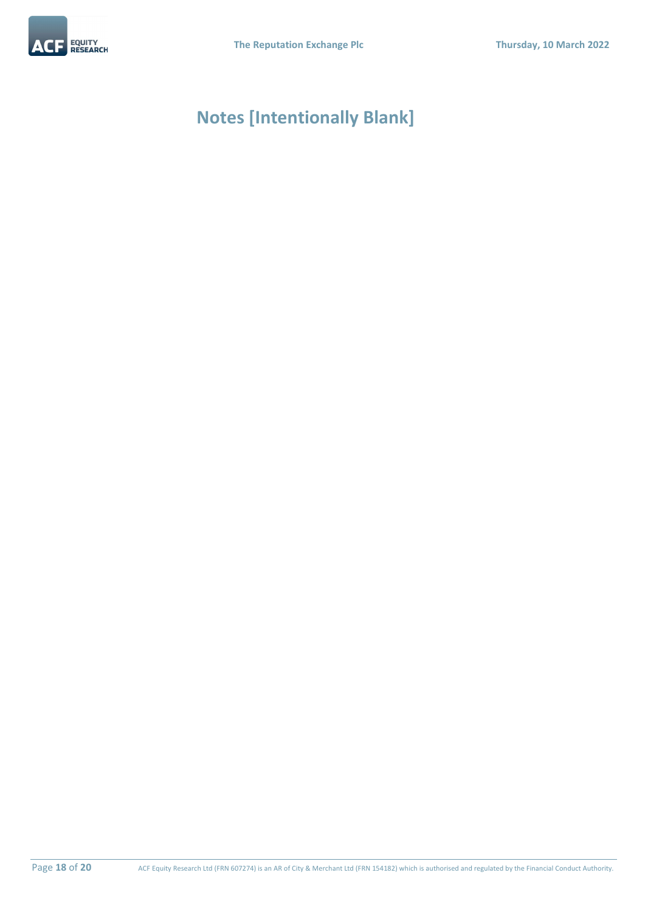

## **Notes [Intentionally Blank]**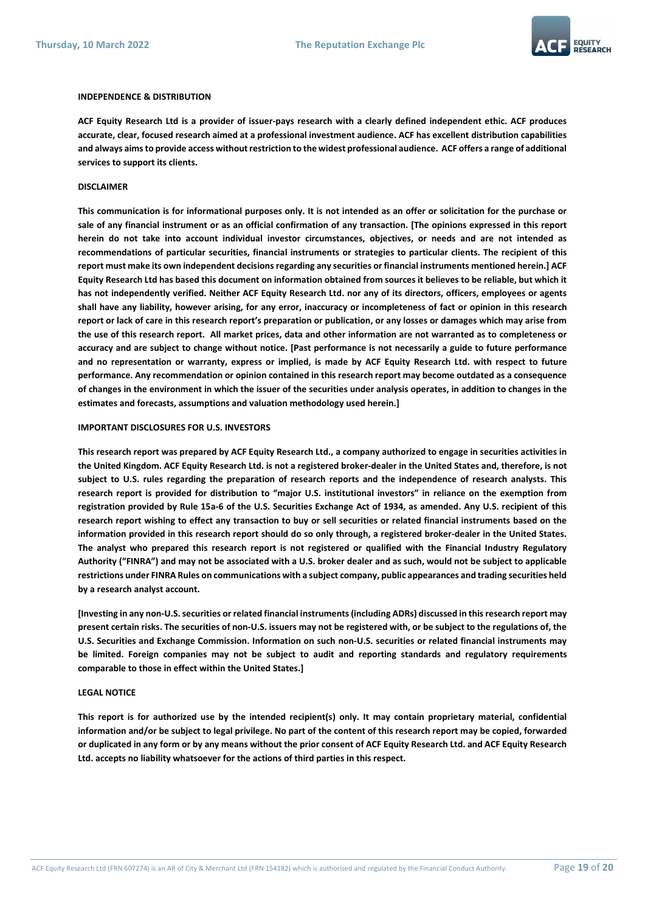

#### **INDEPENDENCE & DISTRIBUTION**

**ACF Equity Research Ltd is a provider of issuer-pays research with a clearly defined independent ethic. ACF produces accurate, clear, focused research aimed at a professional investment audience. ACF has excellent distribution capabilities and always aims to provide access without restriction to the widest professional audience. ACF offers a range of additional services to support its clients.**

#### **DISCLAIMER**

**This communication is for informational purposes only. It is not intended as an offer or solicitation for the purchase or sale of any financial instrument or as an official confirmation of any transaction. [The opinions expressed in this report herein do not take into account individual investor circumstances, objectives, or needs and are not intended as recommendations of particular securities, financial instruments or strategies to particular clients. The recipient of this report must make its own independent decisions regarding any securities or financial instruments mentioned herein.] ACF Equity Research Ltd has based this document on information obtained from sources it believes to be reliable, but which it has not independently verified. Neither ACF Equity Research Ltd. nor any of its directors, officers, employees or agents shall have any liability, however arising, for any error, inaccuracy or incompleteness of fact or opinion in this research report or lack of care in this research report's preparation or publication, or any losses or damages which may arise from the use of this research report. All market prices, data and other information are not warranted as to completeness or accuracy and are subject to change without notice. [Past performance is not necessarily a guide to future performance and no representation or warranty, express or implied, is made by ACF Equity Research Ltd. with respect to future performance. Any recommendation or opinion contained in this research report may become outdated as a consequence of changes in the environment in which the issuer of the securities under analysis operates, in addition to changes in the estimates and forecasts, assumptions and valuation methodology used herein.]**

#### **IMPORTANT DISCLOSURES FOR U.S. INVESTORS**

**This research report was prepared by ACF Equity Research Ltd., a company authorized to engage in securities activities in the United Kingdom. ACF Equity Research Ltd. is not a registered broker-dealer in the United States and, therefore, is not subject to U.S. rules regarding the preparation of research reports and the independence of research analysts. This research report is provided for distribution to "major U.S. institutional investors" in reliance on the exemption from registration provided by Rule 15a-6 of the U.S. Securities Exchange Act of 1934, as amended. Any U.S. recipient of this research report wishing to effect any transaction to buy or sell securities or related financial instruments based on the information provided in this research report should do so only through, a registered broker-dealer in the United States. The analyst who prepared this research report is not registered or qualified with the Financial Industry Regulatory Authority ("FINRA") and may not be associated with a U.S. broker dealer and as such, would not be subject to applicable restrictions under FINRA Rules on communications with a subject company, public appearances and trading securities held by a research analyst account.**

**[Investing in any non-U.S. securities or related financial instruments (including ADRs) discussed in this research report may present certain risks. The securities of non-U.S. issuers may not be registered with, or be subject to the regulations of, the U.S. Securities and Exchange Commission. Information on such non-U.S. securities or related financial instruments may be limited. Foreign companies may not be subject to audit and reporting standards and regulatory requirements comparable to those in effect within the United States.]**

#### **LEGAL NOTICE**

**This report is for authorized use by the intended recipient(s) only. It may contain proprietary material, confidential information and/or be subject to legal privilege. No part of the content of this research report may be copied, forwarded or duplicated in any form or by any means without the prior consent of ACF Equity Research Ltd. and ACF Equity Research Ltd. accepts no liability whatsoever for the actions of third parties in this respect.**